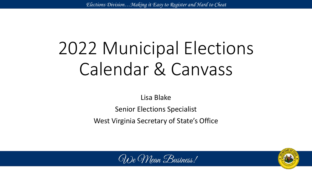# 2022 Municipal Elections Calendar & Canvass

Lisa Blake

Senior Elections Specialist

West Virginia Secretary of State's Office



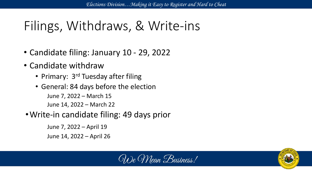# Filings, Withdraws, & Write-ins

- Candidate filing: January 10 29, 2022
- Candidate withdraw
	- Primary: 3<sup>rd</sup> Tuesday after filing
	- General: 84 days before the election June 7, 2022 – March 15 June 14, 2022 – March 22
- •Write-in candidate filing: 49 days prior

June 7, 2022 – April 19 June 14, 2022 – April 26



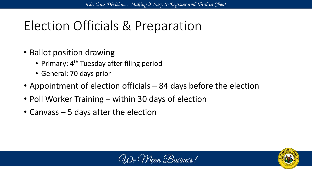# Election Officials & Preparation

- Ballot position drawing
	- Primary: 4<sup>th</sup> Tuesday after filing period
	- General: 70 days prior
- Appointment of election officials 84 days before the election
- Poll Worker Training within 30 days of election
- Canvass 5 days after the election



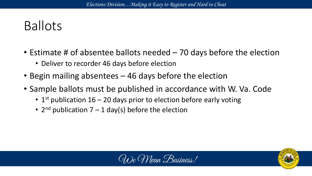# Ballots

- Estimate # of absentee ballots needed 70 days before the election
	- Deliver to recorder 46 days before election
- Begin mailing absentees 46 days before the election
- Sample ballots must be published in accordance with W. Va. Code
	- $1<sup>st</sup>$  publication 16 20 days prior to election before early voting
	- $2^{nd}$  publication  $7 1$  day(s) before the election



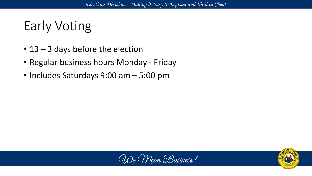# Early Voting

- 13 3 days before the election
- Regular business hours Monday Friday
- Includes Saturdays 9:00 am 5:00 pm



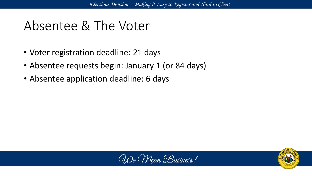### Absentee & The Voter

- Voter registration deadline: 21 days
- Absentee requests begin: January 1 (or 84 days)
- Absentee application deadline: 6 days



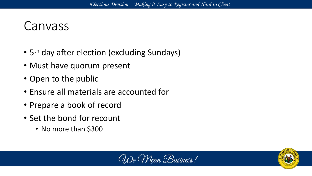#### Canvass

- 5<sup>th</sup> day after election (excluding Sundays)
- Must have quorum present
- Open to the public
- Ensure all materials are accounted for
- Prepare a book of record
- Set the bond for recount
	- No more than \$300



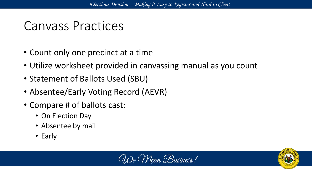### Canvass Practices

- Count only one precinct at a time
- Utilize worksheet provided in canvassing manual as you count
- Statement of Ballots Used (SBU)
- Absentee/Early Voting Record (AEVR)
- Compare # of ballots cast:
	- On Election Day
	- Absentee by mail
	- Early



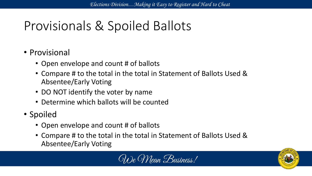## Provisionals & Spoiled Ballots

#### • Provisional

- Open envelope and count # of ballots
- Compare # to the total in the total in Statement of Ballots Used & Absentee/Early Voting
- DO NOT identify the voter by name
- Determine which ballots will be counted
- Spoiled
	- Open envelope and count # of ballots
	- Compare # to the total in the total in Statement of Ballots Used & Absentee/Early Voting



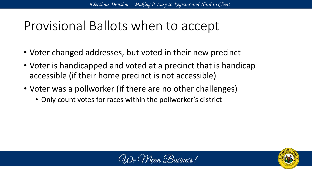### Provisional Ballots when to accept

- Voter changed addresses, but voted in their new precinct
- Voter is handicapped and voted at a precinct that is handicap accessible (if their home precinct is not accessible)
- Voter was a pollworker (if there are no other challenges)
	- Only count votes for races within the pollworker's district